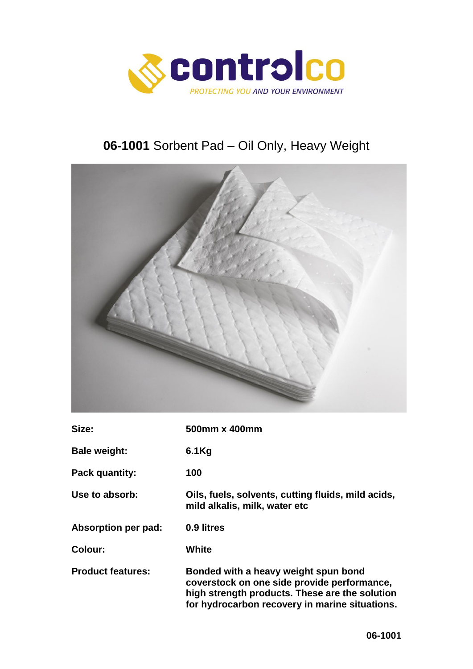

# **06-1001** Sorbent Pad – Oil Only, Heavy Weight



| Size:                    | 500mm x 400mm                                                                                                                                                                           |
|--------------------------|-----------------------------------------------------------------------------------------------------------------------------------------------------------------------------------------|
| <b>Bale weight:</b>      | $6.1$ Kg                                                                                                                                                                                |
| Pack quantity:           | 100                                                                                                                                                                                     |
| Use to absorb:           | Oils, fuels, solvents, cutting fluids, mild acids,<br>mild alkalis, milk, water etc                                                                                                     |
| Absorption per pad:      | 0.9 litres                                                                                                                                                                              |
| Colour:                  | White                                                                                                                                                                                   |
| <b>Product features:</b> | Bonded with a heavy weight spun bond<br>coverstock on one side provide performance,<br>high strength products. These are the solution<br>for hydrocarbon recovery in marine situations. |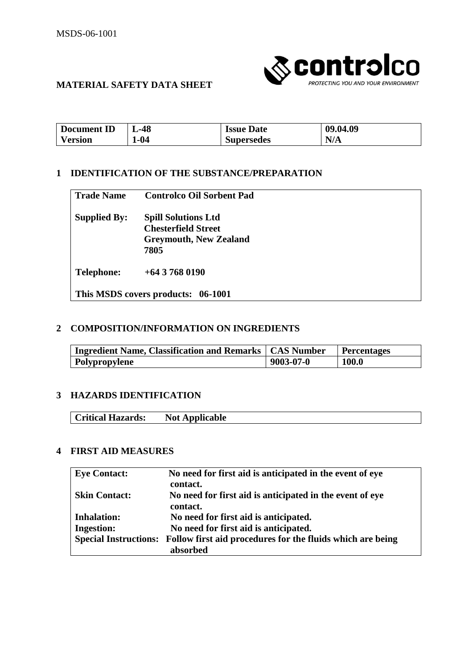

# **MATERIAL SAFETY DATA SHEET**

| <b>Document</b><br>ΠD | 48-ر | <b>Issue Date</b> | 09.04.09           |
|-----------------------|------|-------------------|--------------------|
| V ersion              | l-04 | <b>Supersedes</b> | NI<br>14/ <i>1</i> |

#### **1 IDENTIFICATION OF THE SUBSTANCE/PREPARATION**

| <b>Trade Name</b>   | <b>Controlco Oil Sorbent Pad</b> |  |
|---------------------|----------------------------------|--|
| <b>Supplied By:</b> | <b>Spill Solutions Ltd</b>       |  |
|                     | <b>Chesterfield Street</b>       |  |
|                     | <b>Greymouth, New Zealand</b>    |  |
|                     | 7805                             |  |
| <b>Telephone:</b>   | $+6437680190$                    |  |

#### **2 COMPOSITION/INFORMATION ON INGREDIENTS**

| <b>Ingredient Name, Classification and Remarks   CAS Number</b> |                 | <b>Percentages</b> |
|-----------------------------------------------------------------|-----------------|--------------------|
| <b>Polypropylene</b>                                            | $9003 - 07 - 0$ | <b>100.0</b>       |

#### **3 HAZARDS IDENTIFICATION**

| Critical Hazards: |
|-------------------|
|-------------------|

# **4 FIRST AID MEASURES**

| <b>Eye Contact:</b>          | No need for first aid is anticipated in the event of eye   |
|------------------------------|------------------------------------------------------------|
|                              | contact.                                                   |
| <b>Skin Contact:</b>         | No need for first aid is anticipated in the event of eye   |
|                              | contact.                                                   |
| <b>Inhalation:</b>           | No need for first aid is anticipated.                      |
| <b>Ingestion:</b>            | No need for first aid is anticipated.                      |
| <b>Special Instructions:</b> | Follow first aid procedures for the fluids which are being |
|                              | absorbed                                                   |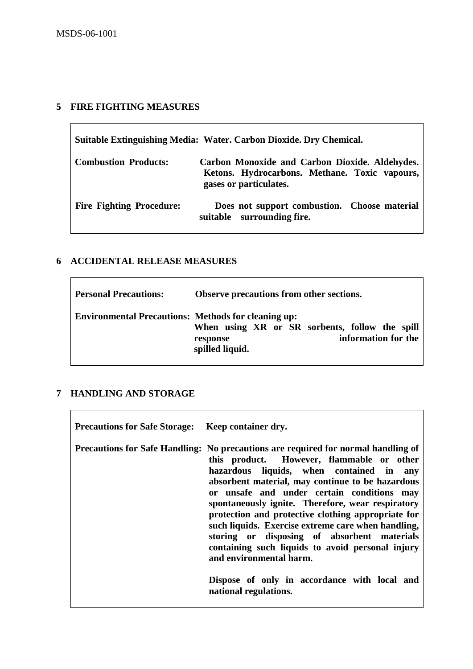## **5 FIRE FIGHTING MEASURES**

| Suitable Extinguishing Media: Water. Carbon Dioxide. Dry Chemical. |                                                                                                                           |  |
|--------------------------------------------------------------------|---------------------------------------------------------------------------------------------------------------------------|--|
| <b>Combustion Products:</b>                                        | Carbon Monoxide and Carbon Dioxide. Aldehydes.<br>Ketons. Hydrocarbons. Methane. Toxic vapours,<br>gases or particulates. |  |
| <b>Fire Fighting Procedure:</b>                                    | Does not support combustion. Choose material<br>suitable surrounding fire.                                                |  |

# **6 ACCIDENTAL RELEASE MEASURES**

| <b>Personal Precautions:</b>                               | Observe precautions from other sections.                                                             |
|------------------------------------------------------------|------------------------------------------------------------------------------------------------------|
| <b>Environmental Precautions: Methods for cleaning up:</b> | When using XR or SR sorbents, follow the spill<br>information for the<br>response<br>spilled liquid. |

# **7 HANDLING AND STORAGE**

| <b>Precautions for Safe Storage:</b> Keep container dry. |                                                                                                                                                                                                                                                                                                                                                                                                                                                                                                                                                                                                                                                      |
|----------------------------------------------------------|------------------------------------------------------------------------------------------------------------------------------------------------------------------------------------------------------------------------------------------------------------------------------------------------------------------------------------------------------------------------------------------------------------------------------------------------------------------------------------------------------------------------------------------------------------------------------------------------------------------------------------------------------|
|                                                          | Precautions for Safe Handling: No precautions are required for normal handling of<br>this product. However, flammable or other<br>hazardous liquids, when contained in any<br>absorbent material, may continue to be hazardous<br>or unsafe and under certain conditions may<br>spontaneously ignite. Therefore, wear respiratory<br>protection and protective clothing appropriate for<br>such liquids. Exercise extreme care when handling,<br>storing or disposing of absorbent materials<br>containing such liquids to avoid personal injury<br>and environmental harm.<br>Dispose of only in accordance with local and<br>national regulations. |
|                                                          |                                                                                                                                                                                                                                                                                                                                                                                                                                                                                                                                                                                                                                                      |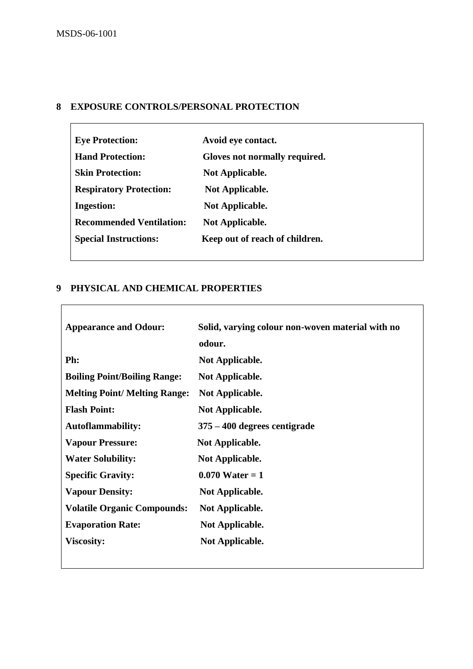## **8 EXPOSURE CONTROLS/PERSONAL PROTECTION**

| <b>Eye Protection:</b>          | Avoid eye contact.             |
|---------------------------------|--------------------------------|
| <b>Hand Protection:</b>         | Gloves not normally required.  |
| <b>Skin Protection:</b>         | <b>Not Applicable.</b>         |
| <b>Respiratory Protection:</b>  | <b>Not Applicable.</b>         |
| <b>Ingestion:</b>               | <b>Not Applicable.</b>         |
| <b>Recommended Ventilation:</b> | <b>Not Applicable.</b>         |
| <b>Special Instructions:</b>    | Keep out of reach of children. |
|                                 |                                |

## **9 PHYSICAL AND CHEMICAL PROPERTIES**

| <b>Appearance and Odour:</b>         | Solid, varying colour non-woven material with no |
|--------------------------------------|--------------------------------------------------|
|                                      | odour.                                           |
| Ph:                                  | <b>Not Applicable.</b>                           |
| <b>Boiling Point/Boiling Range:</b>  | <b>Not Applicable.</b>                           |
| <b>Melting Point/ Melting Range:</b> | <b>Not Applicable.</b>                           |
| <b>Flash Point:</b>                  | <b>Not Applicable.</b>                           |
| <b>Autoflammability:</b>             | 375 – 400 degrees centigrade                     |
| <b>Vapour Pressure:</b>              | <b>Not Applicable.</b>                           |
| <b>Water Solubility:</b>             | <b>Not Applicable.</b>                           |
| <b>Specific Gravity:</b>             | $0.070$ Water = 1                                |
| <b>Vapour Density:</b>               | <b>Not Applicable.</b>                           |
| <b>Volatile Organic Compounds:</b>   | <b>Not Applicable.</b>                           |
| <b>Evaporation Rate:</b>             | <b>Not Applicable.</b>                           |
| <b>Viscosity:</b>                    | <b>Not Applicable.</b>                           |
|                                      |                                                  |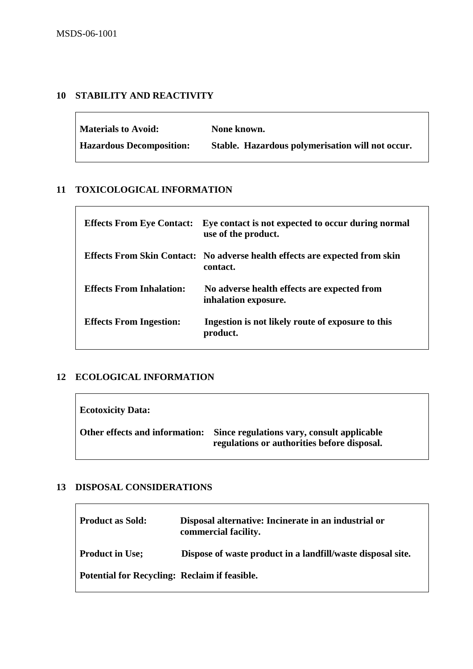# **10 STABILITY AND REACTIVITY**

| <b>Materials to Avoid:</b>      | None known.                                      |
|---------------------------------|--------------------------------------------------|
| <b>Hazardous Decomposition:</b> | Stable. Hazardous polymerisation will not occur. |

## **11 TOXICOLOGICAL INFORMATION**

| <b>Effects From Eye Contact:</b> | Eye contact is not expected to occur during normal<br>use of the product.                      |
|----------------------------------|------------------------------------------------------------------------------------------------|
|                                  | <b>Effects From Skin Contact:</b> No adverse health effects are expected from skin<br>contact. |
| <b>Effects From Inhalation:</b>  | No adverse health effects are expected from<br>inhalation exposure.                            |
| <b>Effects From Ingestion:</b>   | Ingestion is not likely route of exposure to this<br>product.                                  |

#### **12 ECOLOGICAL INFORMATION**

| <b>Ecotoxicity Data:</b>       |                                                                                           |
|--------------------------------|-------------------------------------------------------------------------------------------|
| Other effects and information: | Since regulations vary, consult applicable<br>regulations or authorities before disposal. |

## **13 DISPOSAL CONSIDERATIONS**

| <b>Product as Sold:</b>                              | Disposal alternative: Incinerate in an industrial or<br>commercial facility. |
|------------------------------------------------------|------------------------------------------------------------------------------|
| <b>Product in Use;</b>                               | Dispose of waste product in a landfill/waste disposal site.                  |
| <b>Potential for Recycling: Reclaim if feasible.</b> |                                                                              |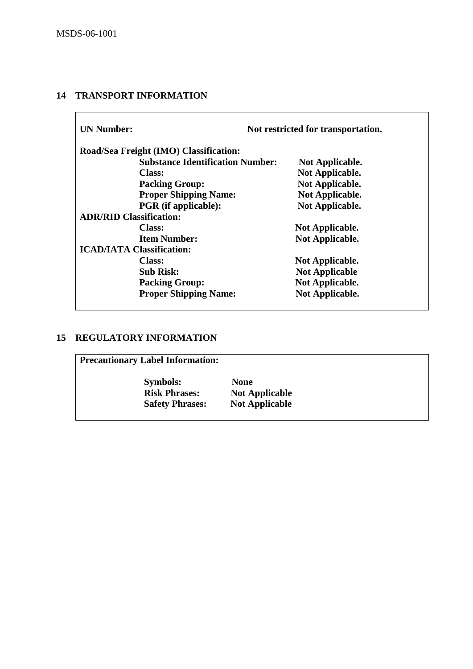# **14 TRANSPORT INFORMATION**

| <b>UN Number:</b>                |                                         | Not restricted for transportation. |  |
|----------------------------------|-----------------------------------------|------------------------------------|--|
|                                  | Road/Sea Freight (IMO) Classification:  |                                    |  |
|                                  | <b>Substance Identification Number:</b> | Not Applicable.                    |  |
|                                  | <b>Class:</b>                           | Not Applicable.                    |  |
|                                  | <b>Packing Group:</b>                   | <b>Not Applicable.</b>             |  |
|                                  | <b>Proper Shipping Name:</b>            | Not Applicable.                    |  |
|                                  | <b>PGR</b> (if applicable):             | <b>Not Applicable.</b>             |  |
| <b>ADR/RID Classification:</b>   |                                         |                                    |  |
|                                  | Class:                                  | <b>Not Applicable.</b>             |  |
|                                  | <b>Item Number:</b>                     | <b>Not Applicable.</b>             |  |
| <b>ICAD/IATA Classification:</b> |                                         |                                    |  |
|                                  | <b>Class:</b>                           | Not Applicable.                    |  |
|                                  | <b>Sub Risk:</b>                        | <b>Not Applicable</b>              |  |
|                                  | <b>Packing Group:</b>                   | Not Applicable.                    |  |
|                                  | <b>Proper Shipping Name:</b>            | Not Applicable.                    |  |

## **15 REGULATORY INFORMATION**

| <b>Precautionary Label Information:</b> |                       |
|-----------------------------------------|-----------------------|
| <b>Symbols:</b>                         | <b>None</b>           |
| <b>Risk Phrases:</b>                    | <b>Not Applicable</b> |
| <b>Safety Phrases:</b>                  | <b>Not Applicable</b> |
|                                         |                       |